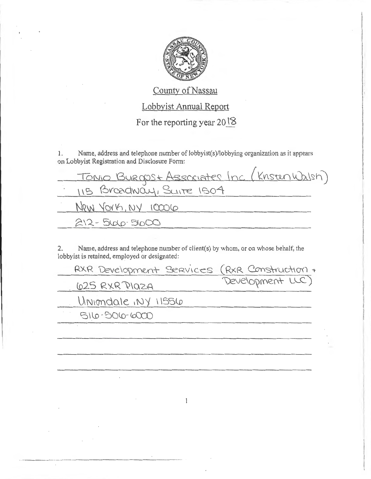

County of Nassau Lobbyist Annual Report For the reporting year 2018

Name, address and telephone number of lobbyist(s)/lobbying organization as it appears  $1.$ on Lobbyist Registration and Disclosure Form:

| <u>Tonio Burgost Associates Inc (Kristen Wal</u> sh)<br>115 Broadway, Suite 1504 |
|----------------------------------------------------------------------------------|
| New York, NY 10006                                                               |
| $212 - 5000 - 5000$                                                              |

Name, address and telephone number of client(s) by whom, or on whose behalf, the  $2.$ lobbyist is retained, employed or designated:

| RXR Development SERVICES (RXR Construction + |                  |
|----------------------------------------------|------------------|
| 625 RXR Plaza                                | Development LLC) |
| Uniondale, NY 11556                          |                  |
| 516-506-6000                                 |                  |
|                                              |                  |
|                                              |                  |
|                                              |                  |
|                                              |                  |

 $\mathbf{I}$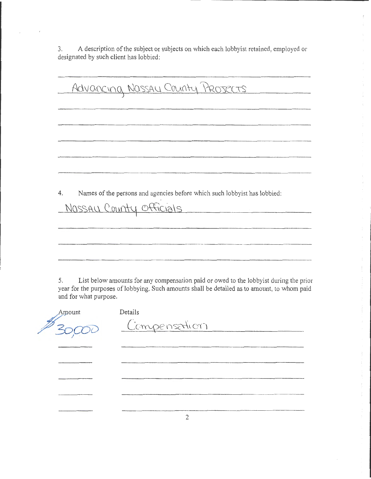3. A description of the subject or subjects on which each lobbyist retained, employed or designated by such client has lobbied:

> ÷  $\mathbf{t}$

Advancing Nassay County Projects 4. Names of the persons and agencies before which such lobbyist has lobbied: NOSSAU County Officials <u> 1980 - Johann Stein, mars an t-Amerikaansk kommunenter (</u>

5. List below amounts for any compensation paid or owed to the lobbyist during the prior year for the purposes of lobbying. Such amounts shall be detailed as to amount, to whom paid and for what purpose.

2

| Amount | Details      |
|--------|--------------|
|        | Compensation |
|        |              |
|        |              |
|        |              |
|        |              |
|        |              |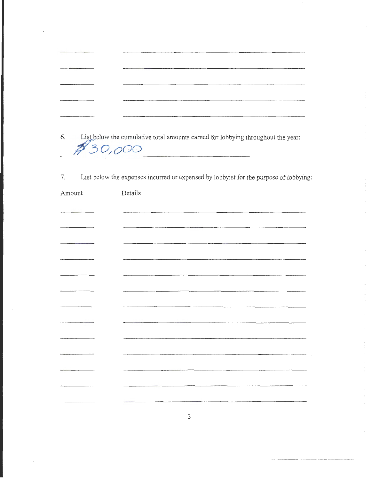| 6. List below the cumulative total amounts earned for lobbying throughout the year: |
|-------------------------------------------------------------------------------------|
| 30,000                                                                              |

List below the expenses incurred or expensed by lobbyist for the purpose of lobbying: 7.

| Amount                       | Details |
|------------------------------|---------|
|                              |         |
| $-$                          |         |
|                              |         |
|                              |         |
| ---- <del>---------</del> -- |         |
|                              |         |
| -------                      |         |
|                              |         |
|                              |         |
|                              |         |
|                              |         |
|                              |         |
|                              |         |
|                              |         |

 $\mathfrak{Z}$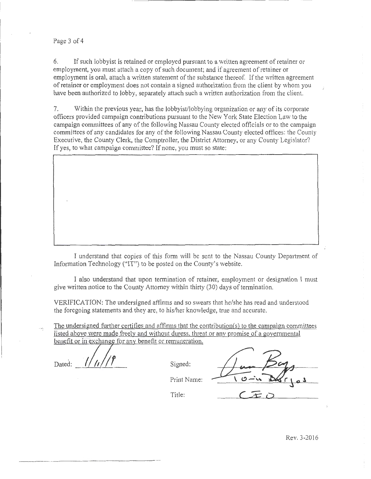Page 3 of 4

6. If such lobbyist is retained or employed pursuant to a written agreement of retainer or employment, you must attach a copy of such document; and if agreement of retainer or employment is oral, attach a written statement of the substance thereof. If the written agreement of retainer or employment does not contain a signed authorization from the client by whom you have been authorized to lobby, separately attach such a written authorization from the client.

7. Within the previous year, has the lobbyist/lobbying organization or any of its corporate officers provided campaign contributions pursuant to the New York State Election Law to the campaign committees of any of the following Nassau County elected officials or to the campaign committees of any candidates for any of the following Nassau County elected offices: the County Executive, the County Clerk, the Comptroller, the District Attorney, or any County Legislator? If yes, to what campaign committee? If none, you must so state:

I understand that copies of this form 'viii be sent to the Nassau County Department of Information Technology ("IT") to be posted on the County's website.

I also understand that upon termination of retainer, employment or designation I must give written notice to the County Attorney within thirty (30) days of termination.

VERIFICATION: The undersigned affirms and so swears that he/she has read and understood the foregoing statements and they are, to his/her knowledge, true and accurate.

The undersigned further certifies and affirms that the contribution(s) to the campaign committees listed above were made freely and without duress. threat or any promise of a governmental benefit or in exchange for any benefit or remuneration.

Dated:  $\frac{1}{4}$   $\frac{1}{4}$   $\frac{1}{4}$  Signed:

Signed:  $\frac{\sqrt{u}Bg}{10-u}Bg$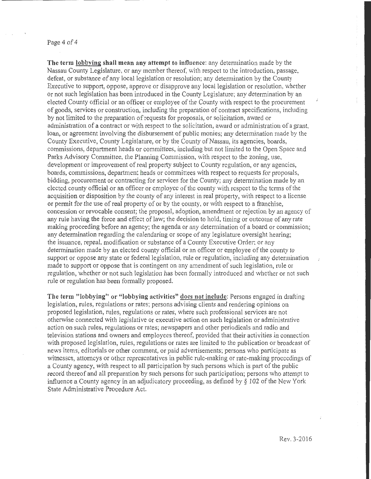## Page 4 of 4

The term lobbying shall mean any attempt to influence: any determination made by the Nassau County Legislature, or any member thereof. with respect to the introduction, passage, defeat, or substance of any local legislation or resolution; any determination by the County Executive to support, oppose, approve or disapprove any local legislation or resolution, whether or not such legislation has been introduced in the County Legislature; any determination by an elected County official or an officer or employee of the County with respect to the procurement of goods, services or construction, including the preparation of contract specifications, including by not limited to the preparation of requests for proposals, or solicitation, award or administration of a contract or with respect to the solicitation, award or administration of a grant, loan, or agreement involving the disbursement of public monies; any determination made by the County Executive, County Legislature, or by the County of Nassau, its agencies, boards, commissions, department heads or committees, including but not limited to the Open Space and Parks Advisory Committee, the Planning Commission, with respect to the zoning, use, development or improvement of real property subject to County regulation, or any agencies, boards, commissions, department heads or committees with respect to requests for proposals, bidding, procurement or contracting for services for the County; any determination made by an elected county official or an officer or employee of the county with respect to the terms of the acquisition or disposition by the county of any interest in real property, with respect to a license or permit for the use of real property of or by the county, or with respect to a franchise, concession or revocable consent; the proposal, adoption, amendment or rejection by an agency of any rule having the force and effect of law; the decision to hold, timing or outcome of any rate making proceeding before an agency; the agenda or any determination of a board or commission; any determination regarding the calendaring or scope of any legislature oversight hearing; the issuance, repeal, modification or substance of a County Executive Order: or any determination made by an elected county official or an officer or employee of the county to support or oppose any state or federal legislation, rule or regulation, including any determination made to support or oppose that is contingent on any amendment of such legislation, mle or regulation, whether or not such legislation has been formally introduced and whether or not such rule or regulation has been formally proposed.

The term "lobbying" or "lobbying activities" does not include: Persons engaged in drafting legislation, rules, regulations or rates; persons advising clients and rendering opinions on proposed legislation, rules, regulations or rates, where such professional services are not otherwise connected with legislative or executive action on such legislation or administrative action on such rules, regulations or rates; newspapers and other periodicals and radio and television stations and owners and employees thereof, provided that their activities in connection with proposed legislation, rules, regulations or rates are limited to the publication or broadcast of news items, editorials or other comment, or paid advertisements; persons who participate as witnesses, attorneys or other representatives in public rule-making or rate-making proceedings of a County agency, with respect to all participation by such persons which is part of the public record thereof and all preparation by such persons for such participation; persons who attempt to influence a County agency in an adjudicatory proceeding, as defined by  $\S 102$  of the New York State Administrative Procedure Act.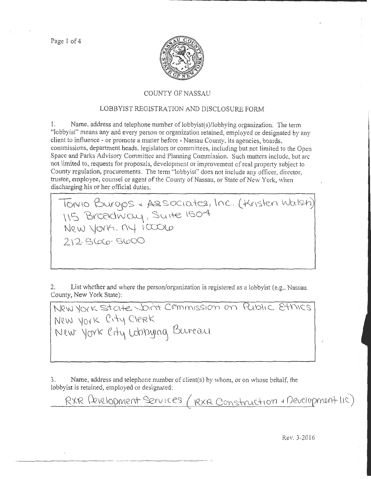Page 1 of 4



## COUNTY OF NASSAU

## LOBBYIST REGISTRATION AND DISCLOSURE FORM

I. Name, address and telephone number of lobbyist(s)/lobbying organization. The term "lobbyist" means any and every person or orgamzation retained, employed or designated by any client to influence- or promote a matter before -Nassau County, *its* agencies, boards, commissions, department heads, legislators or committees, including but not limited to the Open Space and Parks Advisory Committee and Planning Commission. Such matters include, but arc not limited to, requests for proposals, development or improvement of real property subject to County regulation, procurements. The tenn "lobbyist" does not include any officer, director, trustee, employee, counsel or agent of the County of Nassau, or State of New York, when discharging his or her official duties.

Tonio Burgos & Associates, Inc. (Kristen Walsh) \\S ~YC0dV'J~, Su\-\e \S04-  $New$  york,  $ny$  iccolo 2\2 Sloeo- swoO

2. List whether and where the person/organization is registered as a lobbyist (e.g., Nassau County, New York State):

New York State Joint Cemmission on Public Ethics New York City Clerk New York City Lobbying Bureau

3. Name, address and telephone number of client(s) by whom, or on whose behalf, the lobbyist is retained, employed or designated:

RXR Levelopment Services ( RXR Construction & Development lic)